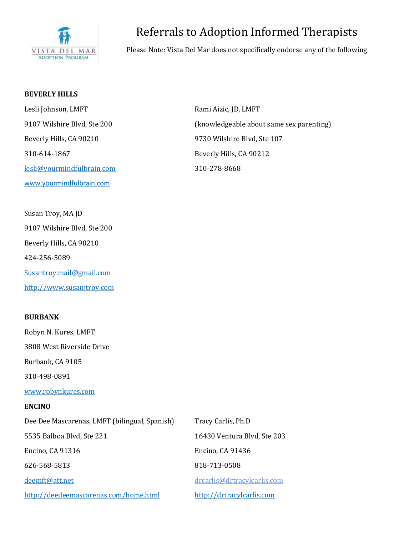

# Referrals to Adoption Informed Therapists

Please Note: Vista Del Mar does not specifically endorse any of the following

# **BEVERLY HILLS**

Lesli Johnson, LMFT Rami Aizic, JD, LMFT Beverly Hills, CA 90210 9730 Wilshire Blvd, Ste 107 310-614-1867 Beverly Hills, CA 90212 [lesli@yourmindfulbrain.com](mailto:lesli@yourmindfulbrain.com) 310-278-8668 [www.yourmindfulbrain.com](http://www.yourmindfulbrain.com/)

Susan Troy, MA JD 9107 Wilshire Blvd, Ste 200 Beverly Hills, CA 90210 424-256-5089 [Susantroy.mail@gmail.com](mailto:Susantroy.mail@gmail.com) [http://www.susanjtroy.com](http://www.susanjtroy.com/) 

# **BURBANK**

Robyn N. Kures, LMFT 3808 West Riverside Drive Burbank, CA 9105 310-498-0891 [www.robynkures.com](http://www.robynkures.com/) **ENCINO** Dee Dee Mascarenas, LMFT (bilingual, Spanish) Tracy Carlis, Ph.D 5535 Balboa Blvd, Ste 221 16430 Ventura Blvd, Ste 203 Encino, CA 91316 Encino, CA 91436 626-568-5813 818-713-0508 [deemft@att.net](mailto:deemft@att.net) [drcarlis@drtracylcarlis.com](mailto:drcarlis@drtracylcarlis.com) <http://deedeemascarenas.com/home.html> [http://drtracylcarlis.com](http://drtracylcarlis.com/)

9107 Wilshire Blvd, Ste 200 (knowledgeable about same sex parenting)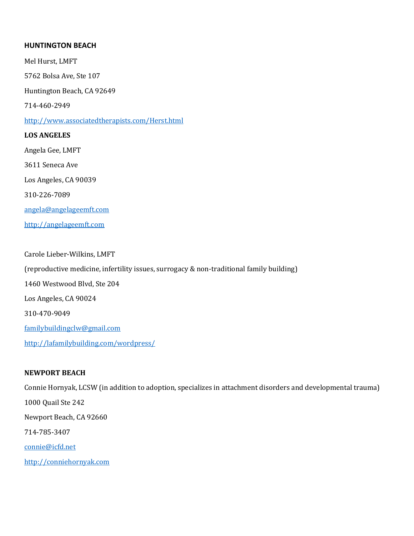## **HUNTINGTON BEACH**

Mel Hurst, LMFT

5762 Bolsa Ave, Ste 107

Huntington Beach, CA 92649

714-460-2949

<http://www.associatedtherapists.com/Herst.html>

# **LOS ANGELES**

Angela Gee, LMFT 3611 Seneca Ave Los Angeles, CA 90039 310-226-7089 [angela@angelageemft.com](mailto:angela@angelageemft.com) [http://angelageemft.com](http://angelageemft.com/)

Carole Lieber-Wilkins, LMFT (reproductive medicine, infertility issues, surrogacy & non-traditional family building) 1460 Westwood Blvd, Ste 204 Los Angeles, CA 90024 310-470-9049 [familybuildingclw@gmail.com](mailto:familybuildingclw@gmail.com) <http://lafamilybuilding.com/wordpress/>

# **NEWPORT BEACH**

Connie Hornyak, LCSW (in addition to adoption, specializes in attachment disorders and developmental trauma) 1000 Quail Ste 242 Newport Beach, CA 92660 714-785-3407 [connie@icfd.net](mailto:connie@icfd.net) [http://conniehornyak.com](http://conniehornyak.com/)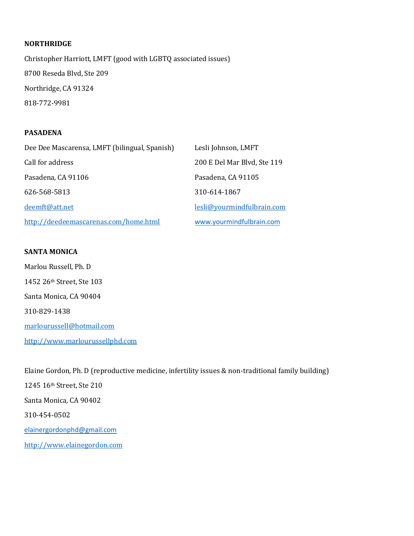#### **NORTHRIDGE**

Christopher Harriott, LMFT (good with LGBTQ associated issues) 8700 Reseda Blvd, Ste 209 Northridge, CA 91324 818-772-9981

#### **PASADENA**

| Dee Dee Mascarensa, LMFT (bilingual, Spanish) | Lesli Johnson, LMFT         |
|-----------------------------------------------|-----------------------------|
| Call for address                              | 200 E Del Mar Blvd, Ste 119 |
| Pasadena, CA 91106                            | Pasadena, CA 91105          |
| 626-568-5813                                  | 310-614-1867                |
| deemft@att.net                                | lesli@vourmindfulbrain.com  |
| http://deedeemascarenas.com/home.html         | www.yourmindfulbrain.com    |

## **SANTA MONICA**

Marlou Russell, Ph. D 1452 26th Street, Ste 103 Santa Monica, CA 90404 310-829-1438 [marlourussell@hotmail.com](mailto:marlourussell@hotmail.com) [http://www.marlourussellphd.com](http://www.marlourussellphd.com/)

Elaine Gordon, Ph. D (reproductive medicine, infertility issues & non-traditional family building) 1245 16th Street, Ste 210 Santa Monica, CA 90402 310-454-0502 [elainergordonphd@gmail.com](mailto:elainergordonphd@gmail.com) [http://www.elainegordon.com](http://www.elainegordon.com/)